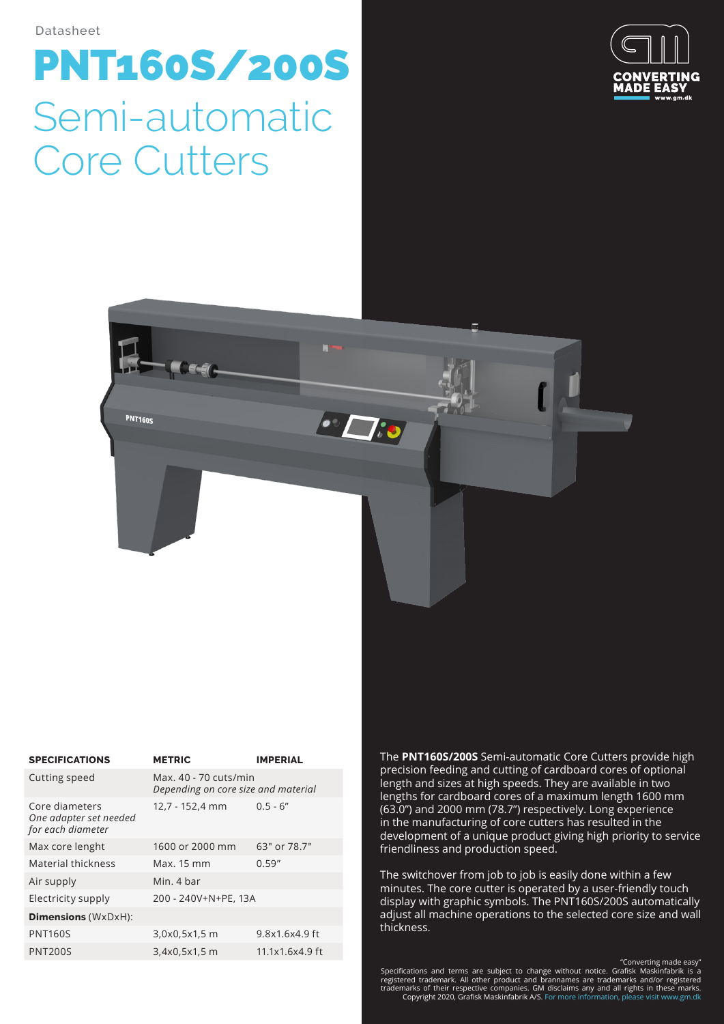## PNT160S/200S Semi-automatic Core Cutters





| <b>SPECIFICATIONS</b>                                         | <b>METRIC</b>                                                | <b>IMPERIAL</b> |
|---------------------------------------------------------------|--------------------------------------------------------------|-----------------|
| Cutting speed                                                 | Max. 40 - 70 cuts/min<br>Depending on core size and material |                 |
| Core diameters<br>One adapter set needed<br>for each diameter | 12,7 - 152,4 mm                                              | $0.5 - 6''$     |
| Max core lenght                                               | 1600 or 2000 mm                                              | 63" or 78.7"    |
| Material thickness                                            | Max. 15 mm                                                   | 0.59''          |
| Air supply                                                    | Min. 4 bar                                                   |                 |
| Electricity supply                                            | 200 - 240V+N+PE, 13A                                         |                 |
| <b>Dimensions</b> (WxDxH):                                    |                                                              |                 |
| <b>PNT160S</b>                                                | 3,0x0,5x1,5 m                                                | 9.8x1.6x4.9 ft  |
| <b>PNT200S</b>                                                | 3,4x0,5x1,5 m                                                | 11.1x1.6x4.9 ft |

The **PNT160S/200S** Semi-automatic Core Cutters provide high precision feeding and cutting of cardboard cores of optional length and sizes at high speeds. They are available in two lengths for cardboard cores of a maximum length 1600 mm (63.0") and 2000 mm (78.7") respectively. Long experience in the manufacturing of core cutters has resulted in the development of a unique product giving high priority to service friendliness and production speed.

The switchover from job to job is easily done within a few minutes. The core cutter is operated by a user-friendly touch display with graphic symbols. The PNT160S/200S automatically adjust all machine operations to the selected core size and wall thickness.

"Converting made easy" Specifications and terms are subject to change without notice. Grafisk Maskinfabrik is a registered trademark. All other product and brannames are trademarks and/or registered trademarks of their respective companies. GM disclaims any and all rights in these marks. Copyright 2020, Grafisk Maskinfabrik A/S. For more information, please visit www.gm.dk